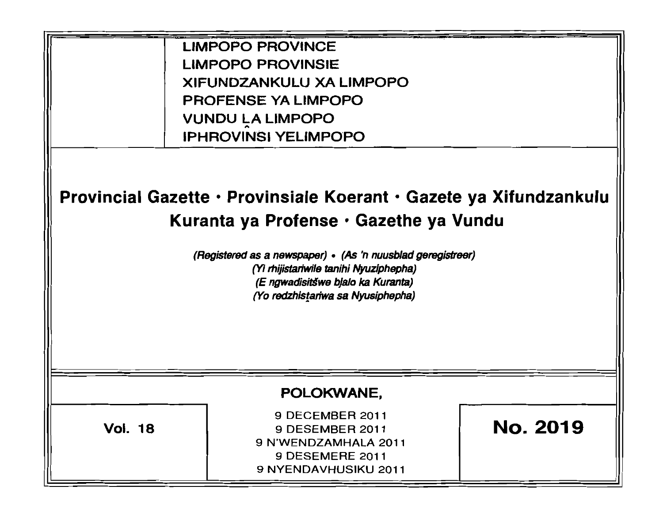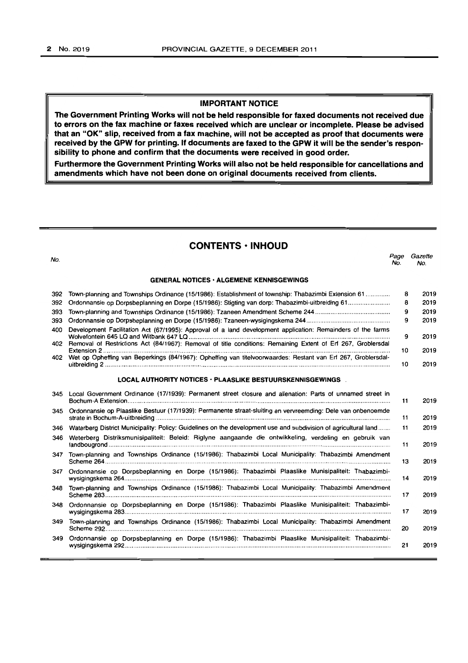# **IMPORTANT NOTICE**

**The Government Printing Works will not be held responsible for faxed documents not received due to errors on the fax machine or faxes received which are unclear or incomplete. Please be advised that an "OK" slip, received from a fax machine, will not be accepted as proof that documents were received by the GPW for printing. If documents are faxed to the GPW it will be the sender's responsibility to phone and confirm that the documents were received in good order.** 

**Furthermore the Government Printing Works will also not be held responsible for cancellations and amendments which have not been done on original documents received from clients.** 

# **CONTENTS • INHOUD**

no.<br>No. 2006 - Page Gazette Page Gazette Page Gazette Page Gazette Page Gazette Page Gazette Page Gazette Page Ga **GENERAL NOTICES' ALGEMENE KENNISGEWINGS**  392 Town-planning and Townships Ordinance (15/1986): Establishment of township: Thabazimbi Extension 61 ............. 392 Ordonnansie op Dorpsbeplanning en Dorpe (15/1986): SIi9ting van dorp: Thabazimbi-uitbreiding 61 ....................... . 393 Town-planning and Townships Ordinance (15/1986): Tzaneen Amendment Scheme 244 ..... , ......... "." .. , .... , ...... " ...... . 393 Ordonnansie op Dorpsbeplanning en Dorpe (15/1986): Tzaneen-wysigingskema 244."."" .. " .... " ........................... .. 400 Development Facilitation Act (67/1995): Approval of a land development application: Remainders of the farms No. No. 8 **8**  $\alpha$ 9 2019 2019 2019 2019 Wolvelontein 645 LQ and Witbank 647 LQ .... , ..... " ....... , .... " ............... " .......... " ......... " ........... ".................................... 9 2019 402 Removal of Restrictions Act (84/1967): Removal of title conditions: Remaining Extent of Erf 267, Groblersdal Extension 2 ..................................... , ............... , .. , ........... , .. " ................. , ..... , ........ , ... " ... , ........... "",'''''''''''" .. "." .. ,'" .. ,,,.. 10 2019 402 Wet op Opheffing van Beperkings (84/1967): Opheffing van litelvoorwaardes: Restant van Erf 267, Groblersdaluitbreiding 2 ...................... " ....................................................................................................... " .... "............................ 10 2019 LOCAL AUTHORITY NOTICES · PLAASLIKE BESTUURSKENNISGEWINGS 345 Local Government Ordinance (17/1939): Permanent street closure and alienation: Parts of unnamed street in Bochum-A Extension., ........ , ....................... " .. ,., .. " .. , ........ , .. , ... ' .. , .... " ..... , ..... , .. , ...... , .. , .. , .. , ..... , .. , ............ , .................. , .. , .. 11 2019 345 Ordonnansie op Plaaslike Bestuur (17/1939): Permanente straat-sluiting en vervreemding: Dele van onbenoemde strate in Bochum-A-uitbreiding ..... ' .... , ......... , .. , ...... , ............................................... " ..................................................... . 11 2019 346 Waterberg District Municipality: Policy: Guidelines on the development use and subdivision of agricultural land ...... . 11 2019 346 Weterberg Dislriksmunisipaliteit: Beleid: Aiglyne aangaande die ontwikkeling. verdeling en gebruik van landbougrond .. , ...... , ....... " ... " ....... " .... " ...................................................................................................................... . 11 2019 347 Town-planning and Townships Ordinance (15/1986): Thabazimbi Local Municipality: Thabazimbi Amendment Scheme 264 ................................................................................................................................................................. .. 13 2019 347 Ordonnansie op Dorpsbeplanning en Dorpe (15/1986): Thabazimbi Plaaslike Munisipaliteit: Thabazimbiwysigingskema 264 .................................... " ....................... , ................................. "" .................................................... . 14 2019 348 Town-planning and Townships Ordinance (15/1986): Thabazimbi Local Municipality: Thabazimbi Amendment Scheme 283 ................................................................... , ..... , ............... , ........................................................................ . 17 2019 348 Ordonnansie op Dorpsbeplanning en Dorpe (15/1986): Thabazimbi Plaaslike Munisipaliteit: Thabazimbiwysigingskema 283 ....................................................................................................................................................... . 17 2019 349 Town-planning and Townships Ordinance (15/1986): Thabazimbi local MuniCipality: Thabazimbi Amendment Scheme 292 .................................................................................................................................................................. . 20 2019 349 Ordonnansie op Dorpsbeplanning en Dorpe (15/1986): Thabazimbi Plaaslike Munisipaliteit: Thabazimbiwysigingskema 292 ............................................................................................................................................. , ......... . 21 2019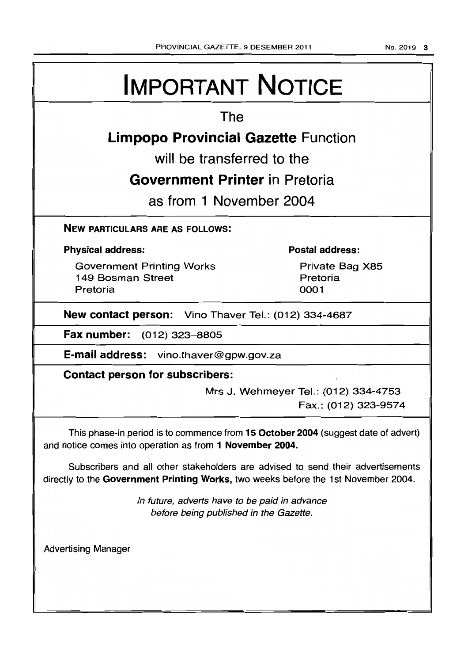# **IMPORTANT NOTICE**

# **The**

# **Limpopo Provincial Gazette Function**

**will be transferred to the** 

# **Government Printer in Pretoria**

**as from 1 November 2004** 

# **NEW PARTICULARS ARE AS FOLLOWS:**

# **Physical address:**

Government Printing Works 149 Bosman Street Pretoria

# **Postal address:**

Private Bag X85 Pretoria 0001

**New contact person:** Vino Thaver Tel.: (012) 334-4687

**Fax number:** (012) 323-8805

**E-mail address:** vino.thaver@gpw.gov.za

**Contact person for subscribers:** 

Mrs J. Wehmeyer Tel.: (012) 334-4753 Fax.: (012) 323-9574

This phase-in period is to commence from **15 October 2004** (suggest date of advert) and notice comes into operation as from **1 November 2004.** 

Subscribers and all other stakeholders are advised to send their advertisements directly to the **Government Printing Works,** two weeks before the 1 st November 2004.

> In future, adverts have to be paid in advance before being published in the Gazette.

Advertising Manager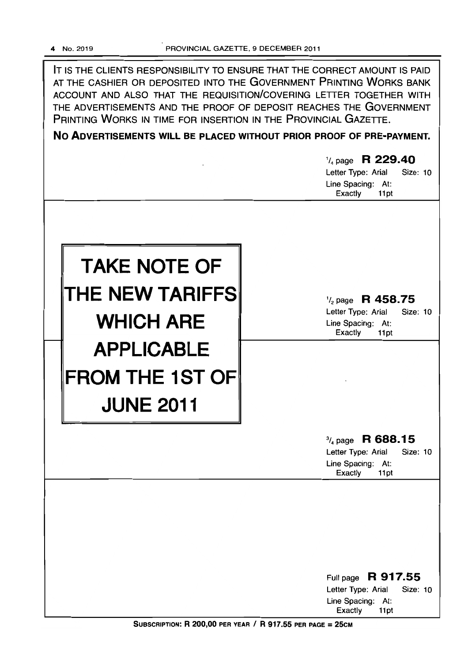

No ADVERTISEMENTS WILL BE PLACED WITHOUT PRIOR PROOF OF PRE-PAYMENT.

|                                                                 | $\frac{1}{4}$ page R 229.40<br>Letter Type: Arial<br>Size: 10<br>Line Spacing: At:<br>Exactly<br>11pt        |
|-----------------------------------------------------------------|--------------------------------------------------------------------------------------------------------------|
| <b>TAKE NOTE OF</b><br>THE NEW TARIFFS<br><b>WHICH ARE</b>      | $\frac{1}{2}$ page R 458.75<br>Letter Type: Arial<br>Size: 10<br>Line Spacing: At:<br><b>Exactly</b><br>11pt |
| <b>APPLICABLE</b><br><b>FROM THE 1ST OF</b><br><b>JUNE 2011</b> |                                                                                                              |
|                                                                 | $\frac{3}{4}$ page R 688.15<br>Letter Type: Arial<br>Size: 10<br>Line Spacing: At:<br>Exactly<br>11pt        |
|                                                                 | Full page R 917.55<br>Letter Type: Arial<br>Size: 10<br>Line Spacing: At:<br>Exactly<br>11pt                 |

SUBSCRIPTION: R 200,00 PER YEAR / R 917.55 PER PAGE = 25CM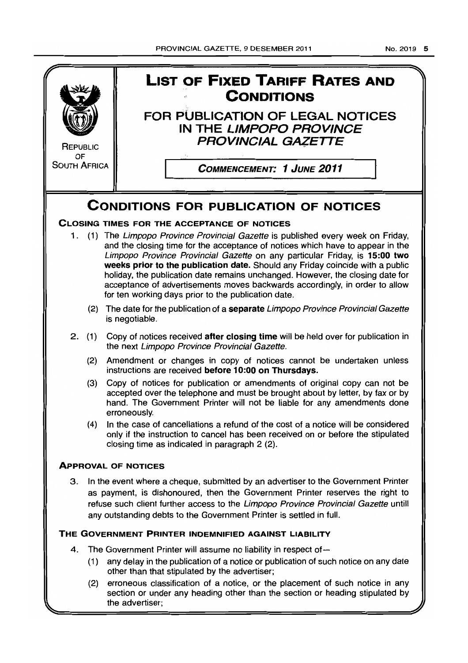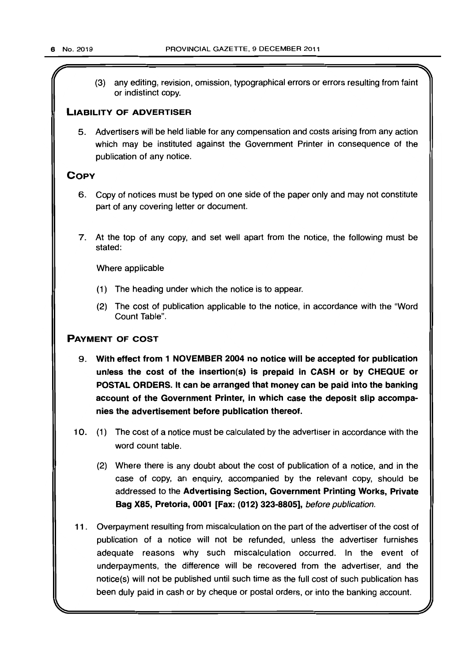(3) any editing, revision, omission, typographical errors or errors resulting from faint or indistinct copy.

# LIABILITY OF ADVERTISER

5. Advertisers will be held liable for any compensation and costs arising from any action which may be instituted against the Government Printer in consequence of the publication of any notice.

# **COPY**

- 6. Copy of notices must be typed on one side of the paper only and may not constitute part of any covering letter or document.
- 7. At the top of any copy, and set well apart from the notice, the following must be stated:

Where applicable

- (1 ) The heading under which the notice is to appear.
- (2) The cost of publication applicable to the notice, in accordance with the "Word Count Table".

# PAYMENT OF COST

- 9. With effect from 1 NOVEMBER 2004 no notice will be accepted for publication unless the cost of the insertion(s) is prepaid in CASH or by CHEQUE or POSTAL ORDERS. It can be arranged that money can be paid into the banking account of the Government Printer, in which case the deposit slip accompanies the advertisement before publication thereof.
- 10. (1) The cost of a notice must be calculated by the advertiser in accordance with the word count table.
	- (2) Where there is any doubt about the cost of publication of a notice, and in the case of copy, an enquiry, accompanied by the relevant copy, should be addressed to the Advertising Section, Government Printing Works, Private Bag X85, Pretoria, 0001 [Fax: (012) 323-8805], before publication.
- 11. Overpayment resulting from miscalculation on the part of the advertiser of the cost of publication of a notice will not be refunded, unless the advertiser furnishes adequate reasons why such miscalculation occurred. In the event of underpayments, the difference will be recovered from the advertiser, and the notice(s) will not be published until such time as the full cost of such publication has been duly paid in cash or by cheque or postal orders, or into the banking account.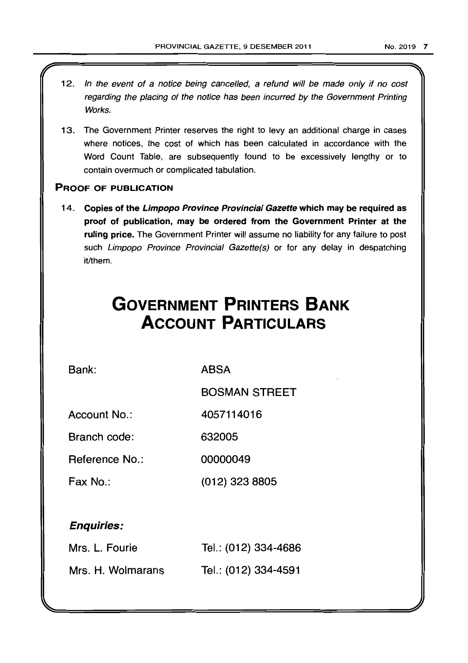- 12. In the event of a notice being cancelled, a refund will be made only if no cost regarding the placing of the notice has been incurred by the Government Printing Works.
- 13. The Government Printer reserves the right to levy an additional charge in cases where notices, the cost of which has been calculated in accordance with the Word Count Table, are subsequently found to be excessively lengthy or to contain overmuch or complicated tabulation.

# PROOF OF PUBLICATION

14. Copies of the Limpopo Province Provincial Gazette which may be required as proof of publication, may be ordered from the Government Printer at the ruling price. The Government Printer will assume no liability for any failure to post such Limpopo Province Provincial Gazette(s) or for any delay in despatching it/them.

# **GOVERNMENT PRINTERS BANK ACCOUNT PARTICULARS**

Bank:

**ABSA** 

BOSMAN STREET

Account No.: 4057114016

Branch code: 632005

Reference No.: 00000049

Fax No.: (012) 323 8805

# Enquiries:

| Mrs. L. Fourie    | Tel.: (012) 334-4686 |
|-------------------|----------------------|
| Mrs. H. Wolmarans | Tel.: (012) 334-4591 |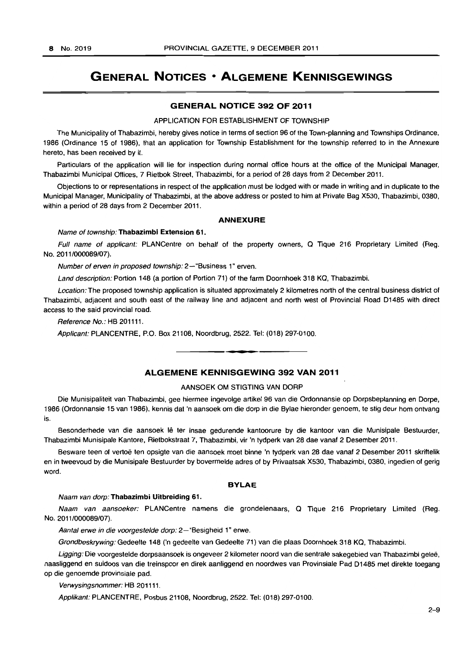# **GENERAL NOTICES • ALGEMENE KENNISGEWINGS**

# **GENERAL NOTICE** 392 **OF 2011**

#### APPLICATION FOR ESTABLISHMENT OF TOWNSHIP

The Municipality of Thabazimbi, hereby gives notice in terms of section 96 of the Town-planning and Townships Ordinance, 1986 (Ordinance 15 of 1986), that an application for Township Establishment for the township referred to in the Annexure hereto, has been received by it.

Particulars of the application will lie for inspection during normal office hours at the office of the Municipal Manager, Thabazimbi Municipal Offices, 7 Rietbok Street, Thabazimbi, for a period of 28 days from 2 December 2011.

Objections to or representations in respect of the application must be lodged with or made in writing and in duplicate to the Municipal Manager, Municipality of Thabazimbi, at the above address or posted to him at Private Bag X530, Thabazimbi, 0380, within a period of 28 days from 2 December 2011.

#### ANNEXURE

#### Name of township: Thabazimbi Extension 61.

Full name of applicant: PLAN Centre on behalf of the property owners, Q Tique 216 Proprietary Limited (Reg. No. 2011/000089/07).

Number of erven in proposed township: 2-"Business 1" erven.

Land description: Portion 148 (a portion of Portion 71) of the farm Doornhoek 318 KQ, Thabazimbi.

Location: The proposed township application is situated approximately 2 kilometres north of the central business district of Thabazimbi, adjacent and south east of the railway line and adjacent and north west of Provincial Road D1485 with direct access to the said provincial road.

Reference No.: HB 201111.

Applicant: PLANCENTRE, P.O. Box 21108, Noordbrug, 2522. Tel: (018) 297-0100 . . **-.** 

# **ALGEMENE KENNISGEWING** 392 **VAN 2011**

#### AANSOEK OM STIGTING VAN DORP

Die Munisipaliteit van Thabazimbi, gee hiermee ingevolge artikel 96 van die Ordonnansie op Dorpsbeplanning en Dorpe, 1986 (Ordonnansie 15 van 1986), kennis dat 'n aansoek om die dorp in die Bylae hieronder genoem, te stig deur hom ontvang is.

Besonderhede van die aansoek lê ter insae gedurende kantoorure by die kantoor van die Munisipale Bestuurder, Thabazimbi Munisipale Kantore, Rietbokstraat 7, Thabazimbi, vir 'n tydperk van 28 dae vanat 2 Desember 2011.

Besware teen of vertoë ten opsigte van die aansoek moet binne 'n tydperk van 28 dae vanaf 2 Desember 2011 skriftelik en in tweevoud by die Munisipale Bestuurder by bovermelde adres of by Privaatsak X530, Thabazimbi, 0380, ingedien of gerig word.

#### **BYLAE**

### Naam van dorp: Thabazimbi Uitbreiding 61.

Naam van aansoeker: PLANCentre namens die grondeienaars, Q Tique 216 Proprietary Limited (Reg. No. 2011/000089/07).

Aantal erwe in die voorgestelde dorp: 2-"Besigheid 1" erwe.

Grondbeskrywing: Gedeelte 148 {'n gedeelte van Gedeelte 71} van die plaas Doornhoek 318 KQ, Thabazimbi.

Ligging: Die voorgestelde dorpsaansoek is ongeveer 2 kilometer noord van die sentrale sakegebied van Thabazimbi geleë, naasliggend en suidoos van die treinspoor en direk aanliggend en noordwes van Provinsiale Pad 01485 met direkte toegang op die genoemde provinsiale pad.

Verwysingsnommer: HB 201111.

Applikant: PLANCENTRE, Posbus 21108, Noordbrug, 2522. Tel: (018) 297-0100.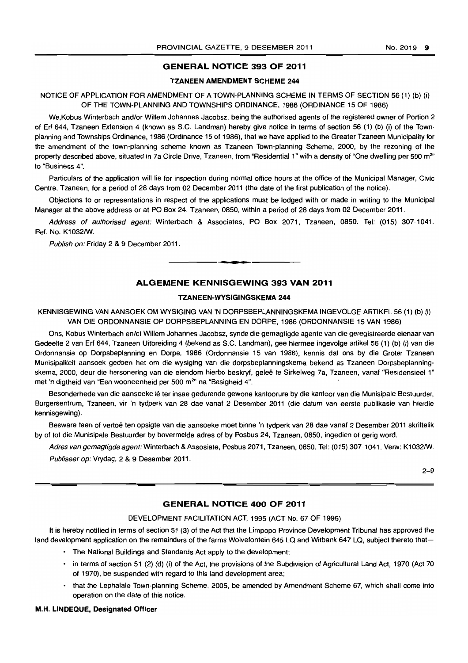# GENERAL NOTICE 393 OF 2011

#### TZANEEN AMENDMENT SCHEME 244

NOTICE OF APPLICATION FOR AMENDMENT OF A TOWN-PLANNING SCHEME IN TERMS OF SECTION 56 (1) (b) (i) OF THE TOWN-PLANNING AND TOWNSHIPS ORDINANCE, 1986 (ORDINANCE 15 OF 1986)

We, Kobus Winterbach and/or Willem Johannes Jacobsz, being the authorised agents of the registered owner of Portion 2 of Erf 644, Tzaneen Extension 4 (known as S.C. Landman) hereby give notice in terms of section 56 (1) (b) (i) of the Townplanning and Townships Ordinance, 1986 (Ordinance 15 of 1986), that we have applied to the Greater Tzaneen Municipality for the amendment of the town-planning scheme known as Tzaneen Town-planning Scheme, 2000, by the rezoning of the property described above, situated in 7a Circle Drive, Tzaneen, from "Residential 1" with a density of "One dwelling per 500 m<sup>2</sup>" to "Business 4".

Particulars of the application will lie for inspection during normal office hours at the office of the Municipal Manager, Civic Centre, Tzaneen, for a period of 28 days from 02 December 2011 (the date of the first publication of the notice).

Objections to or representations in respect of the applications must be lodged with or made in writing to the Municipal Manager at the above address or at PO Box 24, Tzaneen, 0850, within a period of 28 days from 02 December 2011.

Address of authorised agent: Winterbach & Associates, PO Box 2071, Tzaneen, 0850. Tel: (015) 307·1041. Ref. No. Kl032/W.

Publish on: Friday 2 & 9 December 2011.

# ALGEMENE KENNISGEWING 393 VAN 2011

• **- I** 

# TZANEEN-WYSIGINGSKEMA 244

KENNISGEWING VAN AANSOEK OM WYSIGING VAN 'N DORPSBEPLANNINGSKEMA INGEVOLGE ARTIKEL 56 (1) (b) (i) VAN DIE ORDONNANSIE OP DORPSBEPLANNING EN DORPE, 1986 (ORDONNANSIE 15 VAN 1986)

Ons, Kobus Winterbach enlof Willem Johannes Jacobsz, synde die gemagtigde agente van die geregistreerde eienaar van Gedeelte 2 van Erf 644, Tzaneen Uitbreiding 4 (bekend as S.C. Landman), gee hiermee ingevolge artikel 56 (1) (b) (i) van die Ordonnansie op Dorpsbeplanning en Dorpe, 1986 (Ordonnansie 15 van 1986), kennis dat ons by die Groter Tzaneen Munisipaliteit aansoek gedoen het om die wysiging van die dorpsbeplanningskema bekend as Tzaneen Dorpsbeplanningskema, 2000, deur die hersonering van die eiendom hierbo beskryf, geleë te Sirkelweg 7a, Tzaneen, vanaf "Residensieel 1" met 'n digtheid van "Een wooneenheid per 500 m<sup>2</sup>" na "Besigheid 4".

Besonderhede van die aansoeke lê ter insae gedurende gewone kantoorure by die kantoor van die Munisipale Bestuurder, Burgersentrum, Tzaneen, vir 'n tydperk van 28 dae vanaf 2 Desember 2011 (die datum van eerste publikasie van hierdie kennisgewing).

Besware teen of vertoë ten opsigte van die aansoeke moet binne 'n tydperk van 28 dae vanaf 2 Desember 2011 skriftelik by of tot die Munisipale Bestuurder by bovermelde adres of by Posbus 24, Tzaneen, 0850, ingedien of gerig word.

Adres van gemagtigde agent: Winterbach & Assosiate, Posbus 2071, Tzaneen, 0850. Tel: (015) 307-1041. Verw: Kl032/W. Publiseer op: Vrydag, 2 & 9 Desember 2011.

 $2 - 9$ 

# GENERAL NOTICE 400 OF 2011

#### DEVELOPMENT FACILITATION ACT, 1995 (ACT No. 67 OF 1995)

It is hereby notified in terms of section 51 (3) of the Act that the Limpopo Province Development Tribunal has approved the land development application on the remainders of the farms Wolvefontein 645 LQ and Witbank 647 LQ, subject thereto that-

- The National Buildings and Standards Act apply to the development;
- in terms of section 51 (2) (d) (i) of the Act, the provisions of the Subdivision of Agricultural Land Act, 1970 (Act 70 of 1970), be suspended with regard to this land development area;
- that the Lephalale Town-planning Scheme, 2005, be amended by Amendment Scheme 67, which shall come into operation on the date of this notice.

# M.H. LlNDEQUE, DeSignated Officer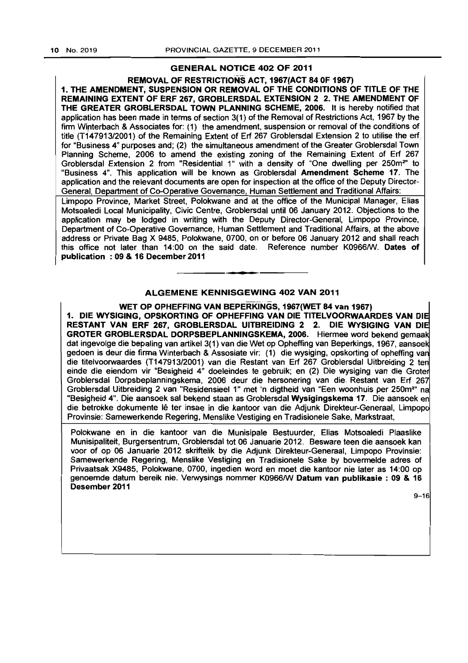# GENERAL NOTICE 402 OF 2011

REMOVAL OF RESTRICTIONS ACT, 1967(ACT 84 OF 1967) 1. THE AMENDMENT, SUSPENSION OR REMOVAL OF THE CONDITIONS OF TITLE OF THE REMAINING EXTENT OF ERF 267, GROBLERSDAL EXTENSION 2 2. THE AMENDMENT OF THE GREATER GROBLERSDAL TOWN PLANNING SCHEME, 2006. It is hereby notified that application has been made in terms of section 3(1) of the Removal of Restrictions Act, 1967 by the firm Wirterbach & Associates for: (1) the amendment, suspension or removal of the conditions of title (T14 7913/2001) of the Remaining Extent of Erf 267 Groblersdal Extension 2 to utilise the erf. for "Business 4" purposes and; (2) the simultaneous amendment of the Greater Groblersdal Town Planning Scheme, 2006 to amend the existing zoning of the Remaining Extent of Erf 267 Groblersdal Extension 2 from "Residential 1" with a density of "One dwelling per 250m<sup>2</sup>" to "Business 4", This application will be known as Groblersdal Amendment Scheme 17. The application and the relevant documents are open for inspection at the office of the Deputy Director-General, Department of Co-Operative Governance, Human Settlement and Traditional Affairs:

Limpopo Province, Market Street, Polokwane and at the office of the Municipal Manager, Elias Motsoaledi local Municipality, Civic Centre, Groblersdal until 06 January 2012. Objections to the application may be lodged in writing with the Deputy Director-General, Limpopo Province, Department of Co-Operative Governance, Human Settlement and Traditional Affairs, at the above address or Private Bag X 9485, Polokwane, 0700, on or before 06 January 2012 and shall reach this office not later than 14:00 on the said date. Reference number K0966/W. Dates of publication: 09 & 16 December 2011

# ALGEMENE KENNISGEWING 402 VAN 2011

**---**

WET OP OPHEFFING VAN BEPERKINGS, 1967(WET 84 van 1967) 1. DIE WYSIGING, OPSKORTING OF OPHEFFING VAN DIE TITELVOORWAARDES VAN DIE RESTANT VAN ERF 267, GROBLERSDAL UITBREIDING 2 2. DIE WYSIGING VAN DIE GROTER GROBLERSDAL DORPSBEPLANNINGSKEMA, 2006. Hiermee word bekend gemaak dat ingevolge die bepaling van artikel 3(1) van die Wet op Opheffing van Beperkings, 1967, aansoek gedoen is deur die firma Winterbach & Assosiate vir: (1) die wysiging, opskorting of opheffing van die titelvoorwaardes (T147913/2001) van die Restant van Erf 267 Groblersdal Uitbreiding 2 ten einde die eiendom vir "Besigheid 4" doeleindes te gebruik; en (2) Die wysiging van die Groter Groblersdal Dorpsbeplanningskema, 2006 deur die hersonering van die. Restant van Erf 267 Groblersdal Uitbreiding 2 van "Residensieel 1" met 'n digtheid van "Een woonhuis per 250m<sup>2</sup>" na "Besigheid 4". Die aansoek sal bekend staan as Groblersdal Wysigingskema 17. Die aansoek en die betrokke dokumente lê ter insae in die kantoor van die Adjunk Direkteur-Generaal, Limpopo Provinsie: Samewerkende Regering, Menslike Vestiging en Tradisionele Sake, Markstraat,

Polokwane en in die kantoor van die Munisipale Bestuurder, Elias Motsoaledi Plaaslike Munisipaliteit, Burgersentrum, Groblersdal tot 06 Januarie 2012. Besware teen die aansoek kan voor of op 06 Januarie 2012 skriftelik by die Adjunk Direkteur-Generaal, limpopo Provinsie: Samewerkende Regering, Menslike Vestiging en Tradisionele Sake by bovermelde adres of Privaatsak X9485, Polokwane, 0700, ingedien word en moet die kantoor nie later as 14:00 op genoemde datum bereik nie. Verwysings nommer K09661W Datum van publikasie : 09 & 16 Desember 2011

9-16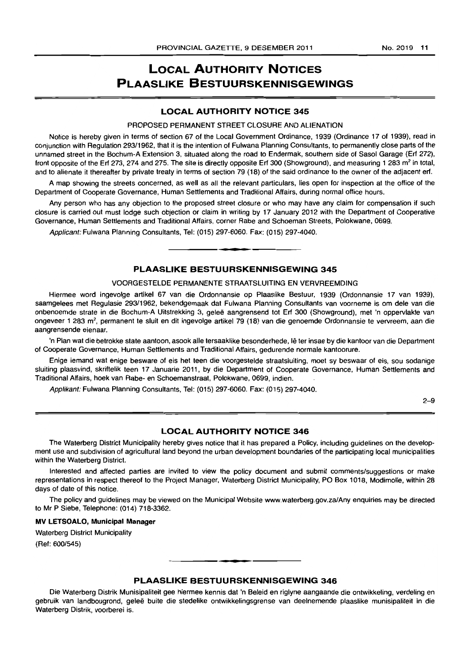# **LOCAL AUTHORITY NOTICES PLAASLIKE BESTUURSKENNISGEWINGS**

# **LOCAL AUTHORITY NOTICE 345**

# PROPOSED PERMANENT STREET CLOSURE AND ALIENATION

Notice is hereby given in terms of section 67 of the Local Government Ordinance, 1939 (Ordinance 17 of 1939), read in conjunction with Regulation 29311962, that it is the intention of Fulwana Planning Consultants, to permanently close parts of the unnamed street in the Bochum-A Extension 3, situated along the road to Endermak, southern side of Sasol Garage (Erf 272), front opposite of the Erf 273, 274 and 275. The site is directly opposite Erf 300 (Showground), and measuring 1 283 m<sup>2</sup> in total, and to alienate it thereafter by private treaty in terms of section 79 (18) of the said ordinance to the owner of the adjacent erf.

A map showing the streets concerned, as well as all the relevant particulars, lies open for inspection at the office of the Department of Cooperate Governance, Human Settlements and Traditional Affairs, during normal office hours.

Any person who has any objection to the proposed street closure or who may have any claim for compensation if such closure is carried out must lodge such objection or claim in writing by 17 January 2012 with the Department of Cooperative Governance, Human Settlements and Traditional Affairs, corner Rabe and Schoeman Streets, Polokwane, 0699.

Applicant: Fulwana Planning Consultants, Tel: (015) 297-6060. Fax: (015) 297-4040.

# **PLAASLIKE BESTUURSKENNISGEWING 345**

• **- I** 

#### VOORGESTELDE PERMANENTE STRAATSLUITING EN VERVREEMDING

Hiermee word ingevolge artikel 67 van die Ordonnansie op Plaaslike Bestuur, 1939 (Ordonnansie 17 van 1939), saamgelees met Regulasie 29311962, bekendgemaak dat Fulwana Planning Consultants van voorneme is om dele van die onbenoemde strate in die Bochum-A Uitstrekking 3, gelee aangrensend tot Erf 300 (Showground). met 'n oppervlakte van ongeveer 1 283 m<sup>2</sup>, permanent te sluit en dit ingevolge artikel 79 (18) van die genoemde Ordonnansie te vervreem, aan die aangrensende eienaar.

'n Plan wat die betrokke state aantoon, asook aile tersaaklike besonderhede, Ie ter insae by die kantoor van die Department of Cooperate Governance, Human Settlements and Traditional Affairs. gedurende normale kantoorure.

Enige iemand wat enige besware of eis het teen die voorgestelde straatsluiting, moet sy beswaar of eis, sou sodanige sluiting plaasvind, skriftelik teen 17 Januarie 2011, by die Department of Cooperate Governance, Human Settlements and Traditional Affairs, hoek van Rabe- en Schoemanstraat, Polokwane, 0699, indien.

Applikant: Fulwana Planning Consultants, Tel: (015) 297-6060. Fax: (015) 297-4040.

2-9

# **LOCAL AUTHORITY NOTICE 346**

The Waterberg District Municipality hereby gives notice that it has prepared a Policy, including guidelines on the development use and subdivision of agricultural land beyond the urban development boundaries of the participating local municipalities within the Waterberg District.

Interested and affected parties are invited to view the policy document and submit comments/suggestions or make representations in respect thereof to the Project Manager, Waterberg District Municipality, PO Box 1018, Modimolle, within 28 days of date of this notice.

The policy and guidelines may be viewed on the Municipal Website www.waterberg.gov.zalAny enquiries may be directed to Mr P Siebe, Telephone: (014) 718-3362.

#### **MV LETSOALO, Municipal Manager**

Waterberg District Municipality (Ref: 600/545)

# **PLAASLIKE BESTUURSKENNISGEWING 346**

**• •** 

Die Waterberg Distrik Munisipaliteit gee hiermee kennis dal 'n Beleid en riglyne aangaande die ontwikkeling, verdeling en gebruik van landbougrond, geleë buite die stedelike ontwikkelingsgrense van deelnemende plaaslike munisipaliteit in die Waterberg Distrik, voorberei is.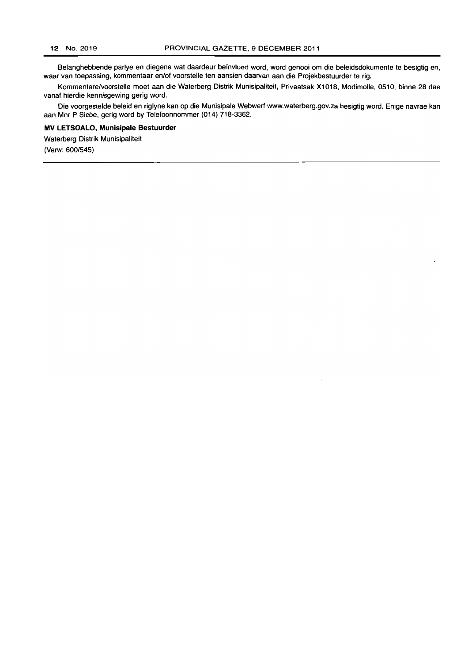Belanghebbende partye en diegene wat daardeur beïnvloed word, word genooi om die beleidsdokumente te besigtig en, waar van toepassing, kommentaar en/of voorstelle ten aansien daarvan aan die Projekbestuurder te rig.

Kommentare/voorstelle moet aan die Waterberg Distrik Munisipaliteit, Privaatsak X1018, Modimolle, 0510, binne 28 dae vanaf hierdie kennisgewing gerig word.

Die voorgestelde beleid en riglyne kan op die Munisipale Webwerf www.waterberg.gov.za besigtig word. Enige navrae kan aan Mnr P Siebe, gerig word by Telefoonnommer (014) 718-3362.

# **MV LETSOALO, Munisipale Bestuurder**

Waterberg Distrik Munisipaliteit (Verw: 600/545)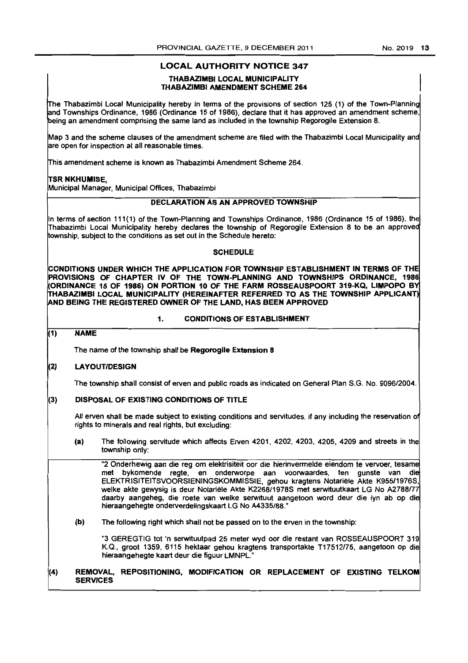# **LOCAL AUTHORITY NOTICE 347**

# THABAZIMBI LOCAL MUNICIPALITY THABAZIMBI AMENDMENT SCHEME 264

The Thabazimbi Local Municipality hereby in terms of the provisions of section 125 (1) of the Town-Planning and Townships Ordinance, 1986 (Ordinance 15 of 1986), declare that it has approved an amendment scheme, being an amendment comprising the same land as included in the township Regorogile Extension 8.

Map 3 and the scheme clauses of the amendment scheme are filed with the Thabazimbi Local Municipality and are open for inspection at all reasonable times.

This amendment scheme is known as Thabazimbi Amendment Scheme 264.

### TSR NKHUMISE,

Municipal Manager, Municipal Offices, Thabazimbi

# DECLARATION AS AN APPROVED TOWNSHIP

In terms of section 111(1) of the Town-Planning and Townships Ordinance, 1986 (Ordinance 15 of 1986), the Thabazimbi Local Municipality hereby declares the township of Regorogile Extension 8 to be an approved township, subject to the conditions as set out in the Schedule hereto:

### **SCHEDULE**

CONDITIONS UNDER WHICH THE APPLICATION FOR TOWNSHIP ESTABLISHMENT IN TERMS OF THE PROVISIONS OF CHAPTER IV OF THE TOWN-PLANNING AND TOWNSHIPS ORDINANCE, 1986 (ORDINANCE 15 OF 1986) ON PORTION 10 OF THE FARM ROSSEAUSPOORT 319·KQ, LIMPOPO BY THABAZIMBI LOCAL MUNICIPALITY (HEREINAFTER REFERRED TO AS THE TOWNSHIP APPLICANT) lAND BEING THE REGISTERED OWNER OF THE LAND, HAS BEEN APPROVED

#### 1. CONDITIONS OF ESTABLISHMENT

# (1) NAME

The name of the township shall be Regorogile Extension 8

### 2) LA YOUT/DESIGN

The township shall consist of erven and public roads as indicated on General Plan S.G. No. 9096/2004.

### (3) DISPOSAL OF EXISTING CONDITIONS OF TITLE

All erven shall be made subject to existing conditions and servitudes, if any including the reservation of rights to minerals and real rights, but excluding:

(a) The following servitude which affects Erven 4201, 4202, 4203, 4205, 4209 and streets in the township only:

"2 Onderhewig aan die reg om elektrisiteit oar die hierinvermelde eiendom te vervaer, tesame met bykomende regte. en onderworpe aan voorwaardes. ten gunste van die ELEKTRISITEITSVOORSIENINGSKOMMISSIE, gehou kragtens Notariele Akte K955/1976S. welke akte gewysig is deur Notariele Akte K2268/1978S met serwituutkaart LG No *A2788n7*  daarby aangeheg. die roete van welke serwituut aangetoon word deur die Iyn ab op die hieraangehegte onderverdelingskaart LG No A4335/88.·

(b) The following right which shall not be passed on to the erven in the township:

"3 GEREGTIG tot 'n serwituutpad 25 meter wyd oor die restant van ROSSEAUSPOORT 319 K.Q., groot 1359. 6115 hektaar gehou kragtens transportakte *117512175,* aangetoon op die hieraangehegte kaart deur die figuur LMNPL.

### (4) REMOVAL, REPOSITIONING, MODIFICATION OR REPLACEMENT OF EXISTING TELKOM **SERVICES**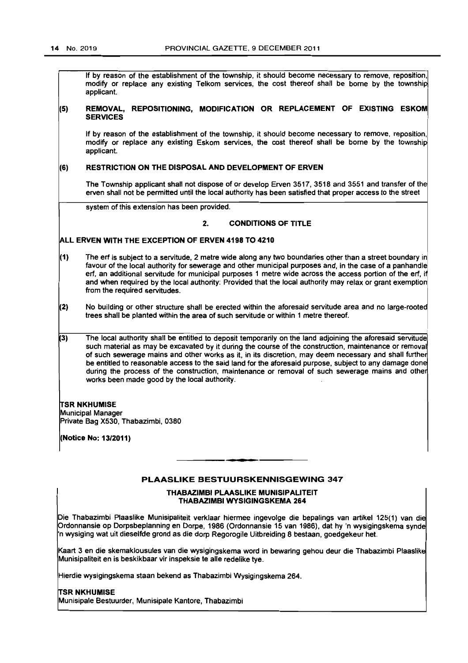If by reason of the establishment of the township, it should become necessary to remove, reposition, modify or replace any existing Telkom services, the cost thereof shall be borne by the township applicant.

#### (5) REMOVAL, REPOSITIONING, MODIFICATION OR REPLACEMENT OF EXISTING ESKOM **SERVICES**

If by reason of the establishment of the township, it should become necessary to remove, reposition, modify or replace any existing Eskom services. the cost thereof shall be borne by the township applicant.

# (6) RESTRICTION ON THE DISPOSAL AND DEVELOPMENT OF ERVEN

The Township applicant shall not dispose of or develop Erven 3517. 3518 and 3551 and transfer of the erven shall not be permitted until the local authority has been satisfied that proper access to the street

system of this extension has been provided.

# 2. CONDITIONS OF TITLE

# ALL ERVEN WITH THE EXCEPTION OF ERVEN 4198 TO 4210

- (1) The erf is subject to a servitude, 2 metre wide along any two boundaries other than a street boundary in favour of the local authority for sewerage and other municipal purposes and. in the case of a panhandle erf, an additional servitude for municipal purposes 1 metre wide across the access portion of the erf, if and when required by the local authonty: Provided that the local authority may relax or grant exemption from the required servitudes.
- 2) No building or other structure shall be erected within the aforesaid servitude area and no large-rooted trees shall be planted within the area of such servitude or within 1 metre thereof.
- $(3)$ The local authority shall be entitled to deposit temporarily on the land adjoining the aforesaid servitude such material as may be excavated by it during the course of the construction, maintenance or removal of such sewerage mains and other works as it, in its discretion, may deem necessary and shall further be entitled to reasonable access to the said land for the aforesaid purpose, subject to any damage done during the process of the construction, maintenance or removal of such sewerage mains and other works been made good by the local authority.

### TSR NKHUMISE

MuniCipal Manager Private Bag X530. Thabazimbi, 0380

(Notice No: 13/2011)

# PLAASLIKE BESTUURSKENNISGEWING 347

. **- .** 

#### THABAZIMBI PLAASLIKE MUNISIPALITEIT THABAZIMBI WYSIGINGSKEMA 264

Die Thabazimbi Plaaslike Munisipaliteit verklaar hiermee ingevolge die bepalings van artikel 125(1) van die Ordonnansie op Dorpsbeplanning en Dorpe, 1986 (Ordonnansie 15 van 1986), dat hy 'n wysigingskema synde "n wysiging wat uit dieselfde grond as die dorp Regorogile Uitbreiding 8 bestaan, goedgekeur het.

Kaart 3 en die skemaklousules van die wysigingskema word in bewaring gehou deur die Thabazimbi Plaaslik Munisipaliteit en is beskikbaar vir inspeksie te aile redelike tye.

Hierdie wysigingskema staan bekend as Thabazimbi Wysigingskema 264.

#### **TSR NKHUMISE**

Munisipale Bestuurder, Munisipale Kantore. Thabazimbi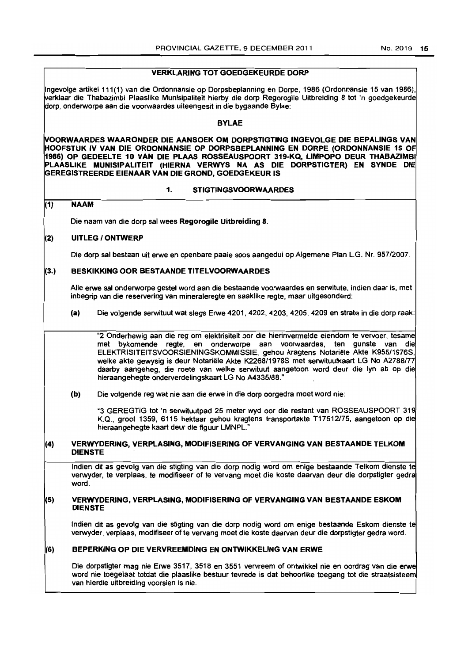# VERKlARING TOT GOEDGEKEURDE DORP

Ingevolge artikel 111 (1) van die Ordonnansie op Dorpsbeplanning en Dorpe. 1986 (Ordonnansie 15 van 1986). verklaar die Thabazimbi Plaaslike Munisipaliteit hierby die dorp Regorogile Uitbreiding 8 tot 'n goedgekeurde dorp. onderworpe aan die voorwaardes uiteengesit in die bygaande Bylae:

### BYlAE

~OORWAARDES WAARONDER DIE AANSOEK OM DORPSTIGTING INGEVOLGE DIE BEPALINGS VAN HOOFSTUK IV VAN DIE ORDONNANSIE OP DORPSBEPlANNING EN DORPE (ORDONNANSIE 15 OF 1986) OP GEDEElTE 10 VAN DIE PlAAS ROSSEAUSPOORT 319-KQ, LIMPOPO DEUR THABAZIMBI PlAASLIKE MUNISIPALITEIT (HIERNA VERWYS NA AS DIE DORPSTIGTER) EN SYNDE DIE GEREGISTREERDE EIENAAR VAN DIE GROND, GOEDGEKEUR 15

### 1. STIGTINGSVOORWAARDES

# (1) NAAM

Die naam van die dorp sal wees Regorogile Uitbreiding 8.

# (2) UITlEG I ONTWERP

Die dorp sal bestaan uit erwe en openbare paaie soos aangedui op Aigemene Plan L.G. Nr. 957/2007.

### (3.) BESKIKKING OOR BESTAANDE TITElVOORWAARDES

Aile erwe sal onderworpe gestel word aan die bestaande voorwaardes en serwitute, indien daar is, met inbegrip van die reservering van mineraleregte en saaklike regte, maar uitgesonderd:

(a) Die volgende serwituut wat slegs Erwe 4201, 4202, 4203, 4205, 4209 en strate in die dorp raak:

"2 Onderhewig aan die reg om elektrisiteit oor die hierinvermelde eiendom te vervoer, tesame met bykomende regte, en onderworpe aan voorwaardes, ten gunste van die ELEKTRISITEITSVOORSIENINGSKOMMISSIE, gehou kragtens Notariële Akte K955/1976S, welke akte gewysig is deur Notariele Akte K2268/1978S met serwituutkaart LG No A2788177 daarby aangeheg, die roete van welke serwituut aangetoon word deur die Iyn ab op die hieraangehegte onderverdelingskaart LG No A4335/88."

(b) Die volgende reg wat nie aan die erwe in die dorp oorgedra moet word nie:

"3 GEREGTIG tot 'n serwituutpad 25 meter wyd oor die restant van ROSSEAUSPOORT 319 K.Q., groot 1359, 6115 hektaar gehou kragtens transportakte T17512175, aangetoon op die hieraangehegte kaart deur die figuur LMNPL."

### $\vert$ (4) VERWYDERING, VERPLASING, MODIFISERING OF VERVANGING VAN BESTAANDE TELKOM DIENSTE

Indien dit as gevolg van die stigting van die dorp nodig word om enige bestaande Telkom dienste te verwyder, te verplaas, te modifiseer of te vervang moet die koste daarvan deur die dorpstigter gedra word.

#### 5) VERWYDERING, VERPlASING, MODIFISERING OF VERVANGING VAN BESTAANDE ESKOM DIENSTE

Indien dit as gevolg van die stigting van die dorp nodig word om enige bestaande Eskom dienste te verwyder, verplaas, modifiseer of te vervang moet die koste daarvan deur die dorpstigter gedra word.

# (6) BEPERKING OP DIE VERVREEMDING EN ONTWIKKELING VAN ERWE

Die dorpstigter mag nie Erwe 3517, 3518 en 3551 vervreem of ontwikkel nie en oordrag van die erwe word nie toegelaat totdat die plaaslike bestuur tevrede is dat behoorlike toegang tot die straatsisteem van hierdie uitbreiding voorsien is nie.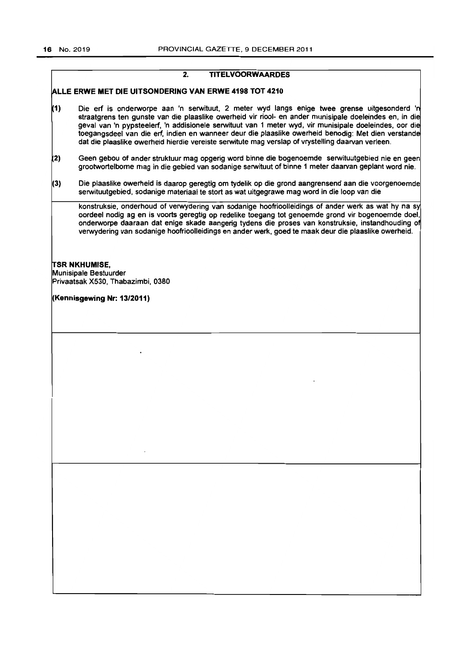2. TITELVOORWAARDES

|     | ALLE ERWE MET DIE UITSONDERING VAN ERWE 4198 TOT 4210                                                                                                                                                                                                                                                                                                                                                                                                                                                                       |
|-----|-----------------------------------------------------------------------------------------------------------------------------------------------------------------------------------------------------------------------------------------------------------------------------------------------------------------------------------------------------------------------------------------------------------------------------------------------------------------------------------------------------------------------------|
| (1) | Die erf is onderworpe aan 'n serwituut, 2 meter wyd langs enige twee grense uitgesonderd 'n<br>straatgrens ten gunste van die plaaslike owerheid vir riool- en ander munisipale doeleindes en, in die<br>geval van 'n pypsteelerf, 'n addisionele serwituut van 1 meter wyd, vir munisipale doeleindes, oor die<br>toegangsdeel van die erf, indien en wanneer deur die plaaslike owerheid benodig: Met dien verstande<br>dat die plaaslike owerheid hierdie vereiste serwitute mag verslap of vrystelling daarvan verleen. |
| (2) | Geen gebou of ander struktuur mag opgerig word binne die bogenoemde serwituutgebied nie en geen<br>grootwortelbome mag in die gebied van sodanige serwituut of binne 1 meter daarvan geplant word nie.                                                                                                                                                                                                                                                                                                                      |
| (3) | Die plaaslike owerheid is daarop geregtig om tydelik op die grond aangrensend aan die voorgenoemde<br>serwituutgebied, sodanige materiaal te stort as wat uitgegrawe mag word in die loop van die                                                                                                                                                                                                                                                                                                                           |
|     | konstruksie, onderhoud of verwydering van sodanige hoofrioolleidings of ander werk as wat hy na sy<br>oordeel nodig ag en is voorts geregtig op redelike toegang tot genoemde grond vir bogenoemde doel,<br>onderworpe daaraan dat enige skade aangerig tydens die proses van konstruksie, instandhouding of<br>verwydering van sodanige hoofrioolleidings en ander werk, goed te maak deur die plaaslike owerheid.                                                                                                         |

TSR NKHUMISE, Munisipale Bestuurder Privaatsak X530, Thabazimbi, 0380

(Kennisgewing Nr: 13/2011)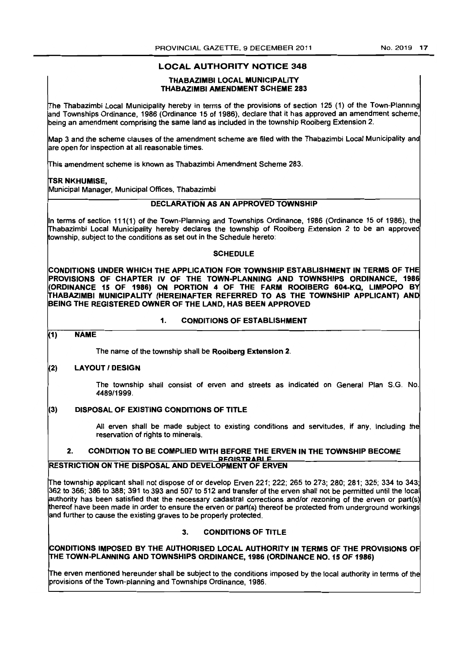# LOCAL AUTHORITY NOTICE 348

#### THABAZIMBI LOCAL MUNICIPALITY THABAZIMBI AMENDMENT SCHEME 283

The Thabazimbi local Municipality hereby in terms of the provisions of section 125 (1) of the Town-Planning and Townships Ordinance, 1986 (Ordinance 15 of 1986). dedare that it has approved an amendment scheme, being an amendment comprising the same land as included in the township Rooiberg Extension 2.

Map 3 and the scheme clauses of the amendment scheme are filed with the Thabazimbi Local Municipality and are open for inspection at all reasonable times.

This amendment scheme is known as Thabazimbi Amendment Scheme 263.

# TSR NKHUMISE.

Municipal Manager, Municipal Offices. Thabazimbi

# DECLARATION AS AN APPROVED TOWNSHIP

In terms of section 111(1) of the Town-Planning and Townships Ordinance, 1986 (Ordinance 15 of 1986). the Thabazimbi Local Municipality hereby declares the township of Rooiberg Extension 2 to be an approved township, subject to the conditions as set out in the Schedule hereto:

# **SCHEDULE**

CONDITIONS UNDER WHICH THE APPLICATION FOR TOWNSHIP ESTABLISHMENT IN TERMS OF THE PROVISIONS OF CHAPTER IV OF THE TOWN-PLANNING AND TOWNSHIPS ORDINANCE, 1986 (ORDINANCE 15 OF 1986) ON PORTION 4 OF THE FARM ROOIBERG 604-KQ, LIMPOPO BY THABAZIMBI MUNICIPALITY (HEREINAFTER REFERRED TO AS THE TOWNSHIP APPLICANT) AND BEING THE REGISTERED OWNER OF THE LAND, HAS BEEN APPROVED

# 1. CONDITIONS OF ESTABLISHMENT

# $(1)$  NAME

The name of the township shall be Rooiberg Extension 2.

# (2) LAYOUT / DESIGN

The township shall consist of erven and streets as indicated on General Plan S.G. No. 4489/1999.

# (3) DISPOSAL OF EXISTING CONDITIONS OF TITLE

and further to cause the existing graves to be properly protected.

All erven shall be made subject to existing conditions and servitudes, if any, including the reservation of rights to minerals.

#### 2. CONDITION TO BE COMPLIED WITH BEFORE THE ERVEN IN THE TOWNSHIP BECOME **REGISTRABLE** RESTRICTION ON THE DISPOSAL AND DEVELOPMENT OF ERVEN

The township applicant shall not dispose of or develop Erven 221; 222; 265 to 273; 280; 281; 325; 334 to 343; 362 to 366; 386 to 388; 391 to 393 and 507 to 512 and transfer of the erven shall not be permitted until the loca authority has been satisfied that the necessary cadastral corrections and/or rezoning of the erven or part(s) thereof have been made in order to ensure the erven or part(s) thereof be protected from underground workings

# 3. CONDITIONS OF TITLE

~ONDITIONS IMPOSED BY THE AUTHORISED LOCAL AUTHORITY IN TERMS OF THE PROVISIONS OF !THE TOWN-PLANNING AND TOWNSHIPS ORDINANCE, 1986 (ORDINANCE NO. 15 OF 1986)

!The erven mentioned hereunder shall be subject to the conditions imposed by the local authority in terms of the provisions of the Town-planning and Townships Ordinance, 1986.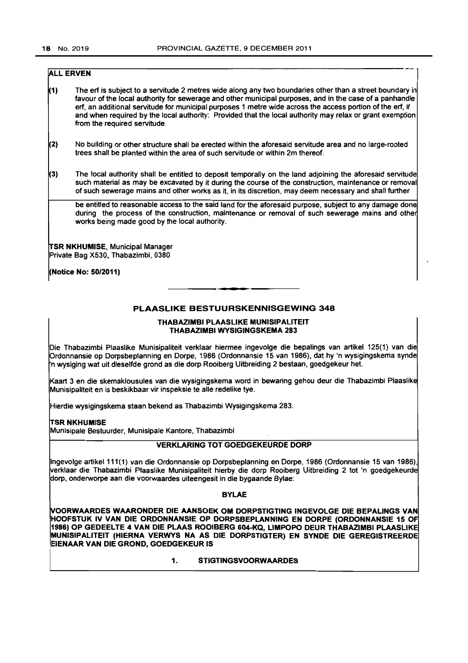# **ALL ERVEN**

- 1) The ert is subject to a servitude 2 metres wide along any two boundaries other than a street boundary in favour of the local authority for sewerage and other municipal purposes. and in the case of a panhandle ert, an additional servitude for municipal purposes 1 metre wide across the access portion of the ert, if and when required by the local authority: Provided that the local authority may relax or grant exemption from the required servitude.
- 2) No building or other structure shall be erected within the aforesaid servitude area and no large-rooted trees shall be planted within the area of such servitude or within 2m thereof.
- 3) The local authority shall be entitled to deposit temporally on the land adjoining the aforesaid servitude such material as may be excavated by it during the course of the construction, maintenance or removal of such sewerage mains and other works as it, in its discretion, may deem necessary and shall further

be entitled to reasonable access to the said land for the aforesaid purpose, subject to any damage done during the process of the construction, maintenance or removal of such sewerage mains and othe works being made good by the local authority.

**TSR NKHUMISE, Municipal Manager** Private Bag X530, Thabazimbi, 0380

(Notice No: 50/2011)

# PLAASLIKE BESTUURSKENNISGEWING 348

#### THABAZIMBI PLAASLIKE MUNISIPALITEIT THABAZIMBI WYSIGINGSKEMA 283

Die Thabazimbi Plaaslike Munisipaliteit verklaar hiermee ingevolge die bepalings van artikel 125(1) van die Ordonnansie op Dorpsbeplanning en Dorpe, 1986 (Ordonnansie 15 van 1986), dat hy 'n wysigingskema synde n wysiging wat uit dieselfde grond as die dorp Rooiberg Uitbreiding 2 bestaan, goedgekeur het.

Kaart 3 en die skemaklousules van die wysigingskema word in bewaring gehou deur die Thabazimbi Plaaslike Munisipaliteit en is beskikbaar vir inspeksie te aile redelike tye.

Hierdie wysigingskema staan bekend as Thabazimbi Wysigingskema 283.

#### iTSR NKHUMISE

Munisipale Bestuurder. Munisipale Kantore. Thabazimbi

# VERKLARING TOT GOEDGEKEURDE DORP

Ingevolge artikel 111(1) van die Ordonnansie op Dorpsbeplanning en Dorpe, 1986 (Ordonnansie 15 van 1986), verklaar die Thabazimbi Plaaslike Munisipaliteit hierby die dorp Rooiberg Uitbreiding 2 tot 'n goedgekeurde dorp. onderworpe aan die voorwaardes uiteengesit in die bygaande Bylae:

#### BYLAE

~OORWAARDES WAARONDER DIE AANSOEK OM DORPSTIGTING INGEVOLGE DIE BEPALINGS VAN HOOFSTUK IV VAN DIE ORDONNANSIE OP DORPSBEPLANNING EN DORPE (ORDONNANSIE 15 OF 1986) OP GEDEELTE 4 VAN DIE PLAAS ROOIBERG 604-KQ, LIMPOPO OEUR THABAZIMBI PLAASLlKE MUNISIPALITEIT (HIERNA VERWYS NA AS DIE DORPSTIGTER) EN SYNDE DIE GEREGISTREERDE EIENAAR VAN DIE GROND, GOEDGEKEUR IS

1. STIGTINGSVOORWAARDES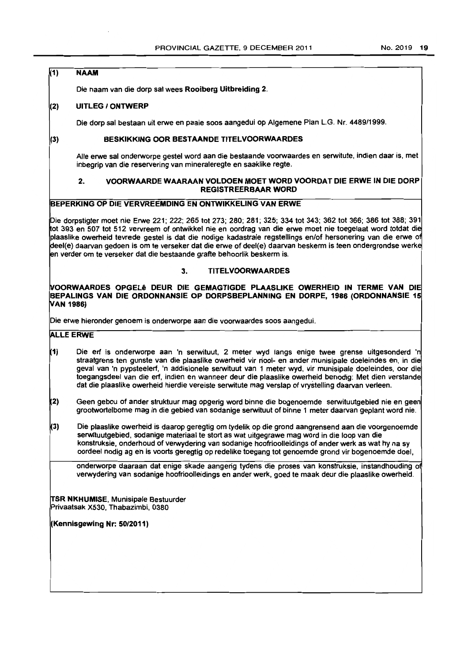# $(1)$  NAAM

Die naam van die dorp sal wees Rooiberg Uitbreiding 2.

# (2) UITLEG IONTWERP

Die dorp sal bestaan uit erwe en paaie soos aangedui op Aigemene Plan L.G. Nr. 4489/1999.

### (3) BESKIKKING OOR BESTAANDE TITELVOORWAARDES

Aile erwe sal onderworpe gestel word aan die bestaande voorwaardes en serwitute, indien daar is, met inbegrip van die reservering van mineraleregte en saaklike regte.

# 2. VOORWAARDE WAARAAN VOLDOEN MOET WORD VOORDAT DIE ERWE IN DIE DORP REGISTREERBAAR WORD

# BEPERKING OP DIE VERVREEMDING EN ONTWIKKELING VAN ERWE

Die dorpstigter moet nie Erwe 221; 222; 265 tot 273; 280; 281; 325; 334 tot 343; 362 tot 366; 386 tot 388; 391 tot 393 en 507 tot 512 vervreem of ontwikkel nie en oordrag van die erwe moet nie toegelaat word totdat die plaaslike owerheid tevrede gestel is dat die nodige kadastrale regstellings en/of hersonering van die erwe 0 deel(e) daarvan gedoen is om te verseker dat die erwe of deel(e) daarvan beskerm is teen ondergrondse werke en verder om te verseker dat die bestaande grafte behoorlik beskerm is.

# 3. TITELVOORWAARDES

#### ~OORWAARDES OPGEU DEUR DIE GEMAGTIGDE PLAASLIKE OWERHEID IN TERME VAN DIE BE PALINGS VAN DIE ORDONNANSIE OP DORPSBEPLANNING EN DORPE, 1986 (ORDONNANSIE 15 iVAN 1986)

Die erwe hieronder genoem is onderworpe aan die voorwaardes soos aangedui.

# **ALLE ERWE**

- 1) Die ert is onderworpe aan 'n serwituut, 2 meter wyd langs enige twee grense uitgesonderd 'n straatgrens ten gunste van die plaaslike owerheid vir riool- en ander munisipale doeleindes en, in die geval van 'n pypsteelerf, 'n addisionele serwituut van 1 meter wyd, vir munisipale doeleindes, oor die toegangsdeel van die erf, indien en wanneer deur die plaaslike owerheid benodig: Met dien verstande dat die plaaslike owerheid hierdie vereiste serwitute mag verslap of vrystelling daarvan veneen.
- 2) Geen gebou of ander struktuur mag opgerig word binne die bogenoemde serwituutgebied nie en geen grootwortelbome mag in die gebied van sodanige serwituut of binne 1 meter daarvan geplant word nie.
- 3) Die plaaslike owerheid is daarop geregtig om tydelik op die grond aangrensend aan die voorgenoemde serwituutgebied, sodanige materiaal te stort as wat uitgegrawe mag word in die loop van die konstruksie, onderhoud of verwydering van sodanige hoofrioolleidings of ander werk as wat hy na sy oordeel nodig ag en is voorts geregtig op redelike toegang tot genoemde grond vir bogenoemde doel,

onderworpe daaraan dat enige skade aangerig tydens die proses van konstruksie. instandhouding of verwydering van sodanige hoofrioolleidings en ander werk, goed te maak deur die plaaslike owerheid.

**TSR NKHUMISE. Munisipale Bestuurder** Privaatsak X530, Thabazimbi. 0380

(Kennisgewing Nr: 5012011)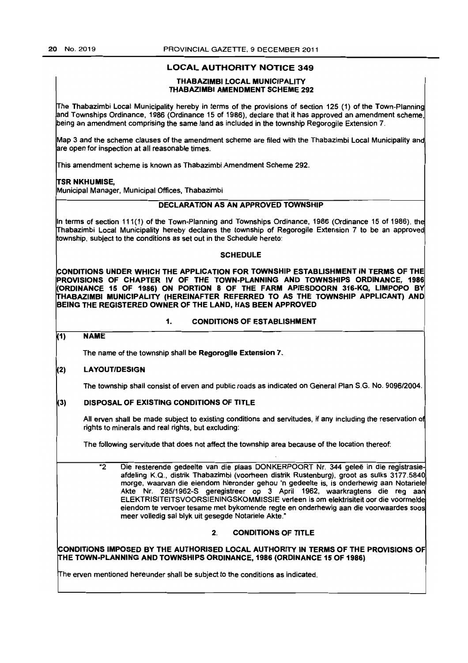# LOCAL AUTHORITY NOTICE 349

#### THABAZIMBI LOCAL MUNICIPALITY THABAZIMBI AMENDMENT SCHEME 292

Ifhe Thabazimbi Local Municipality hereby in terms of the provisions of section 125 (1) of the Town-Planning and Townships Ordinance, 1986 (Ordinance 15 of 1986), declare that it has approved an amendment scheme, peing an amendment comprising the same land as included in the township Regorogile Extension 7.

Map 3 and the scheme clauses of the amendment scheme are filed with the Thabazimbi Local Municipality and are open for inspection at all reasonable times.

Irhis amendment scheme is known as Thabazimbi Amendment Scheme 292.

#### TSR NKHUMISE.

Municipal Manager, Municipal Offices, Thabazimbi

# DECLARATION AS AN APPROVED TOWNSHIP

In terms of section 111(1) of the Town-Planning and Townships Ordinance, 1986 (Ordinance 15 of 1986), the Ifhabazimbi Local Municipality hereby declares the township of Regorogile Extension 7 to be an approved township, subject to the conditions as set out in the Schedule hereto:

# **SCHEDULE**

 $|$ CONDITIONS UNDER WHICH THE APPLICATION FOR TOWNSHIP ESTABLISHMENT IN TERMS OF THE  $\,$ PROVISIONS OF CHAPTER IV OF THE TOWN-PLANNING AND TOWNSHIPS ORDINANCE, 1986 (ORDINANCE 15 OF 1986) ON PORTION 8 OF THE FARM APIESDOORN 316-KQ, LIMPOPO BY THABAZIMBI MUNICIPALITY (HEREINAFTER REFERRED TO AS THE TOWNSHIP APPLICANT) AND BEING THE REGISTERED OWNER OF THE LAND, HAS BEEN APPROVED

### 1. CONDITIONS OF ESTABLISHMENT

# $(1)$  NAME

The name of the township shall be Regorogile Extension 7.

### ~2) LAYOUT/DESIGN

The township shall consist of erven and public roads as indicated on General Plan S.G. No. 9096/2004.

### 3) DISPOSAL OF EXISTING CONDITIONS OF TITLE

All erven shall be made subject to existing conditions and servitudes, if any including the reservation of rights to minerals and real rights, but excluding:

The following servitude that does not affect the township area because of the location thereof:

"2 Die resterende gedeelte van die plaas DONKERPOORT Nr. 344 gelee in die registrasie afdeling K.Q., distrik Thabazimbi (voorheen distrik Rustenburg), groot as sulks 3177.5840 morge, waarvan die eiendom hieronder gehou 'n gedeelte is, is onderhewig aan Notariele Akte Nr. 285/1962-5 geregistreer op 3 April 1962, waarkragtens die reg aan ELEKTRI51TEIT5VOOR51ENINGSKOMMISSIE verteen is om elektrisiteit oor die voormelde eiendom te vervoer tesame met bykomende regte en ondemewig aan die voorwaardes soos meer volledig sal blyk uit gesegde Notariele Akte."

# 2. CONDITIONS OF TITLE

CONDITIONS IMPOSED BY THE AUTHORISED LOCAL AUTHORITY IN TERMS OF THE PROVISIONS OF If HE TOWN-PLANNING AND TOWNSHIPS ORDINANCE. 1986 (ORDINANCE 15 OF 1986)

Irhe erven mentioned hereunder shall be subject to the conditions as indicated.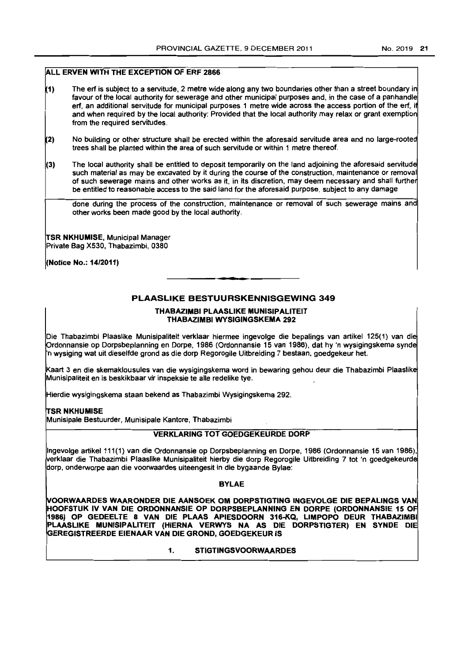# ALL ERVEN WITH THE EXCEPTION OF ERF 2866

- 1) The erf is subject to a servitude, 2 metre wide along any two boundaries other than a street boundary in favour of the local authority for sewerage and other municipal purposes and. in the case of a panhandle erf, an additional servitude for municipal purposes 1 metre wide across the access portion of the erf, if and when required by the local authority: Provided that the local authority may relax or grant exemption from the required servitudes.
- 2) No building or other structure shall be erected within the aforesaid servitude area and no large-rooted trees shall be planted within the area of such servitude or within 1 metre thereof.
- $(3)$  The local authority shall be entitled to deposit temporarily on the land adjoining the aforesaid servitude such material as may be excavated by it during the course of the construction, maintenance or removal of such sewerage mains and other works as it, in its discretion, may deem necessary and shall further be entitled to reasonable access to the said land for the aforesaid purpose, subject to any damage

done during the process of the construction, maintenance or removal of such sewerage mains and other works been made good by the local authority.

TSR NKHUMISE, Municipal Manager Private Bag X530, Thabazimbi, 0380

(Notice No.: 14/2011)

# PLAASLIKE BESTUURSKENNISGEWING 349

• **• •** 

# THABAZIMBI PLAASLIKE MUNISIPALITEIT THABAZIMBI WYSIGINGSKEMA 292

Die Thabazimbi Plaaslike Munisipaliteit verklaar hiermee ingevolge die bepalings van artikel 125(1) van die prdonnansie op Dorpsbeplanning en Dorpe, 1986 (Ordonnansie 15 van 1986), dat hy 'n wysigingskema synde 'n wysiging wat uit dieselfde grond as die dorp Regorogile Uitbreiding 7 bestaan. goedgekeur het.

Kaart 3 en die skemaklousules van die wysigingskema word in bewaring gehou deur die Thabazimbi Plaaslike Munisipaliteit en is beskikbaar vir inspeksie te aile redelike tye.

Hierdie wysigingskema staan bekend as Thabazimbi Wysigingskema 292.

# IrSR NKHUMISE

Munisipale Bestuurder, Munisipale Kantore, Thabazimbi

# VERKLARING TOT GOEDGEKEURDE DORP

Ingevolge artikel 111 (1) van die Ordonnansie op Dorpsbeplanning en Dorpe, 1986 (Ordonnansie 15 van 1986), verklaar die Thabazjmbi Plaaslike Munisipaliteit hierby die dorp Regorogile Uitbreiding 7 tot 'n goedgekeurde dorp. onderworpe aan die voorwaardes uiteengesit in die bygaande Bylae:

### BYLAE

~OORWAARDES WAARONDER DIE AANSOEK OM DORPSTIGTING INGEVOLGE DIE BEPALINGS VAN HOOFSTUK IV VAN DIE ORDONNANSIE OP DORPSBEPLANNING EN DORPE (ORDONNANSIE 15 OF 1986) OP GEDEELTE 8 VAN DIE PLAAS APIESDOORN 316.KQ, LIMPOPO DEUR THABAZIMBI PLAASLIKE MUNISIPALITEIT (HIERNA VERWYS NA AS DIE DORPSTIGTER) EN SYNDE DIE ~EREGISTREERDE EIENAAR VAN DIE GROND, GOEDGEKEUR IS

1. STIGTINGSVOORWAARDES